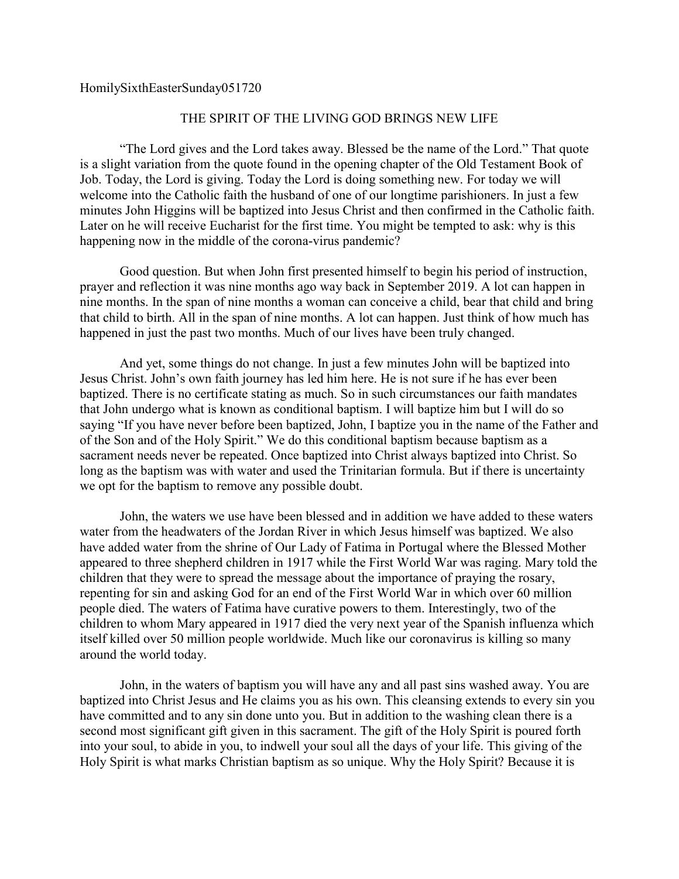HomilySixthEasterSunday051720

## THE SPIRIT OF THE LIVING GOD BRINGS NEW LIFE

"The Lord gives and the Lord takes away. Blessed be the name of the Lord." That quote is a slight variation from the quote found in the opening chapter of the Old Testament Book of Job. Today, the Lord is giving. Today the Lord is doing something new. For today we will welcome into the Catholic faith the husband of one of our longtime parishioners. In just a few minutes John Higgins will be baptized into Jesus Christ and then confirmed in the Catholic faith. Later on he will receive Eucharist for the first time. You might be tempted to ask: why is this happening now in the middle of the corona-virus pandemic?

Good question. But when John first presented himself to begin his period of instruction, prayer and reflection it was nine months ago way back in September 2019. A lot can happen in nine months. In the span of nine months a woman can conceive a child, bear that child and bring that child to birth. All in the span of nine months. A lot can happen. Just think of how much has happened in just the past two months. Much of our lives have been truly changed.

And yet, some things do not change. In just a few minutes John will be baptized into Jesus Christ. John's own faith journey has led him here. He is not sure if he has ever been baptized. There is no certificate stating as much. So in such circumstances our faith mandates that John undergo what is known as conditional baptism. I will baptize him but I will do so saying "If you have never before been baptized, John, I baptize you in the name of the Father and of the Son and of the Holy Spirit." We do this conditional baptism because baptism as a sacrament needs never be repeated. Once baptized into Christ always baptized into Christ. So long as the baptism was with water and used the Trinitarian formula. But if there is uncertainty we opt for the baptism to remove any possible doubt.

John, the waters we use have been blessed and in addition we have added to these waters water from the headwaters of the Jordan River in which Jesus himself was baptized. We also have added water from the shrine of Our Lady of Fatima in Portugal where the Blessed Mother appeared to three shepherd children in 1917 while the First World War was raging. Mary told the children that they were to spread the message about the importance of praying the rosary, repenting for sin and asking God for an end of the First World War in which over 60 million people died. The waters of Fatima have curative powers to them. Interestingly, two of the children to whom Mary appeared in 1917 died the very next year of the Spanish influenza which itself killed over 50 million people worldwide. Much like our coronavirus is killing so many around the world today.

John, in the waters of baptism you will have any and all past sins washed away. You are baptized into Christ Jesus and He claims you as his own. This cleansing extends to every sin you have committed and to any sin done unto you. But in addition to the washing clean there is a second most significant gift given in this sacrament. The gift of the Holy Spirit is poured forth into your soul, to abide in you, to indwell your soul all the days of your life. This giving of the Holy Spirit is what marks Christian baptism as so unique. Why the Holy Spirit? Because it is